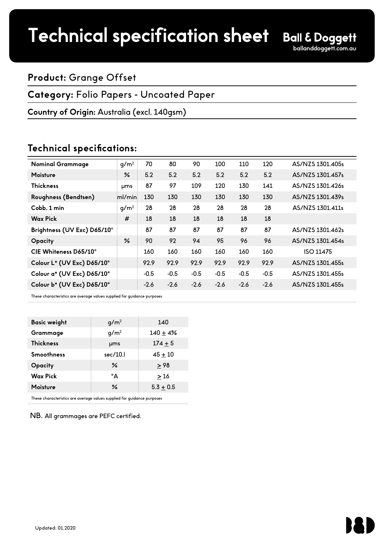# Technical specification sheet

### **Product:** Grange Offset

#### **Category:** Folio Papers - Uncoated Paper

#### **Country of Origin:** Australia (excl. 140gsm)

### **Technical specifications:**

| <b>Nominal Grammage</b>     | g/m <sup>2</sup> | 70     | 80     | 90     | 100    | 110    | 120    | AS/NZS 1301.405s |
|-----------------------------|------------------|--------|--------|--------|--------|--------|--------|------------------|
| <b>Moisture</b>             | $\frac{9}{6}$    | 5.2    | 5.2    | 5.2    | 5.2    | 5.2    | 5.2    | AS/NZS 1301.457s |
| <b>Thickness</b>            | <b>ums</b>       | 87     | 97     | 109    | 120    | 130    | 141    | AS/NZS 1301.426s |
| Roughness (Bendtsen)        | ml/min           | 130    | 130    | 130    | 130    | 130    | 130    | AS/NZS 1301.439s |
| Cobb, 1 min                 | g/m <sup>2</sup> | 28     | 28     | 28     | 28     | 28     | 28     | AS/NZS 1301.411s |
| <b>Wax Pick</b>             | #                | 18     | 18     | 18     | 18     | 18     | 18     |                  |
| Brightness (UV Exc) D65/10° |                  | 87     | 87     | 87     | 87     | 87     | 87     | AS/NZS 1301.462s |
| Opacity                     | ℅                | 90     | 92     | 94     | 95     | 96     | 96     | AS/NZS 1301.454s |
| CIE Whiteness D65/10°       |                  | 160    | 160    | 160    | 160    | 160    | 160    | ISO 11475        |
| Colour L* (UV Exc) D65/10°  |                  | 92.9   | 92.9   | 92.9   | 92.9   | 92.9   | 92.9   | AS/NZS 1301.455s |
| Colour a* (UV Exc) D65/10°  |                  | $-0.5$ | $-0.5$ | $-0.5$ | $-0.5$ | $-0.5$ | $-0.5$ | AS/NZS 1301.455s |
| Colour b* (UV Exc) D65/10°  |                  | $-2.6$ | $-2.6$ | $-2.6$ | $-2.6$ | $-2.6$ | $-2.6$ | AS/NZS 1301.455s |
|                             |                  |        |        |        |        |        |        |                  |

These characteristics are average values supplied for guidance purposes

| <b>Basic weight</b> | g/m <sup>2</sup> | 140         |
|---------------------|------------------|-------------|
| Grammage            | q/m <sup>2</sup> | $140 + 4%$  |
| <b>Thickness</b>    | <b>µms</b>       | $174 + 5$   |
| <b>Smoothness</b>   | sec/10.          | $45 + 10$   |
| Opacity             | ℅                | > 98        |
| <b>Wax Pick</b>     | °A               | >16         |
| <b>Moisture</b>     | ℅                | $5.3 + 0.5$ |
|                     |                  |             |

These characteristics are average values supplied for guidance purposes

NB.All grammages are PEFC certified.